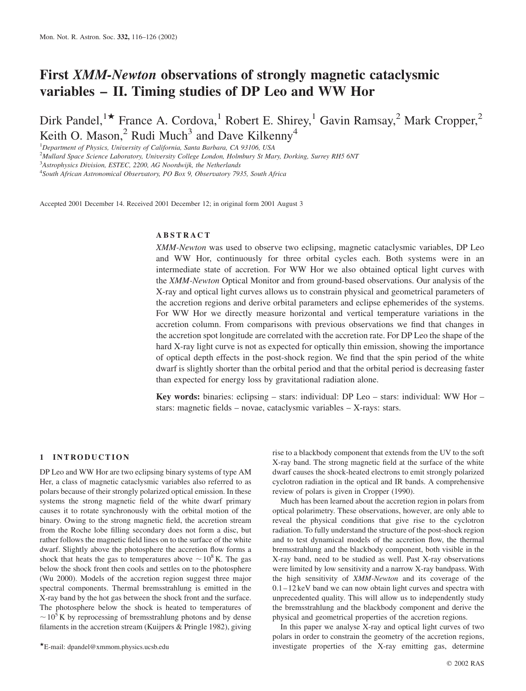# First XMM-Newton observations of strongly magnetic cataclysmic variables – II. Timing studies of DP Leo and WW Hor

Dirk Pandel,<sup>1\*</sup> France A. Cordova,<sup>1</sup> Robert E. Shirey,<sup>1</sup> Gavin Ramsay,<sup>2</sup> Mark Cropper,<sup>2</sup> Keith O. Mason, $2$  Rudi Much<sup>3</sup> and Dave Kilkenny<sup>4</sup>

<sup>1</sup>Department of Physics, University of California, Santa Barbara, CA 93106, USA

<sup>2</sup>Mullard Space Science Laboratory, University College London, Holmbury St Mary, Dorking, Surrey RH5 6NT

<sup>3</sup>Astrophysics Division, ESTEC, 2200, AG Noordwijk, the Netherlands

<sup>4</sup>South African Astronomical Observatory, PO Box 9, Observatory 7935, South Africa

Accepted 2001 December 14. Received 2001 December 12; in original form 2001 August 3

## ABSTRACT

XMM-Newton was used to observe two eclipsing, magnetic cataclysmic variables, DP Leo and WW Hor, continuously for three orbital cycles each. Both systems were in an intermediate state of accretion. For WW Hor we also obtained optical light curves with the XMM-Newton Optical Monitor and from ground-based observations. Our analysis of the X-ray and optical light curves allows us to constrain physical and geometrical parameters of the accretion regions and derive orbital parameters and eclipse ephemerides of the systems. For WW Hor we directly measure horizontal and vertical temperature variations in the accretion column. From comparisons with previous observations we find that changes in the accretion spot longitude are correlated with the accretion rate. For DP Leo the shape of the hard X-ray light curve is not as expected for optically thin emission, showing the importance of optical depth effects in the post-shock region. We find that the spin period of the white dwarf is slightly shorter than the orbital period and that the orbital period is decreasing faster than expected for energy loss by gravitational radiation alone.

Key words: binaries: eclipsing – stars: individual: DP Leo – stars: individual: WW Hor – stars: magnetic fields – novae, cataclysmic variables – X-rays: stars.

## 1 INTRODUCTION

DP Leo and WW Hor are two eclipsing binary systems of type AM Her, a class of magnetic cataclysmic variables also referred to as polars because of their strongly polarized optical emission. In these systems the strong magnetic field of the white dwarf primary causes it to rotate synchronously with the orbital motion of the binary. Owing to the strong magnetic field, the accretion stream from the Roche lobe filling secondary does not form a disc, but rather follows the magnetic field lines on to the surface of the white dwarf. Slightly above the photosphere the accretion flow forms a shock that heats the gas to temperatures above  $\sim 10^8$  K. The gas below the shock front then cools and settles on to the photosphere (Wu 2000). Models of the accretion region suggest three major spectral components. Thermal bremsstrahlung is emitted in the X-ray band by the hot gas between the shock front and the surface. The photosphere below the shock is heated to temperatures of  $\sim$  10<sup>5</sup> K by reprocessing of bremsstrahlung photons and by dense filaments in the accretion stream (Kuijpers & Pringle 1982), giving

rise to a blackbody component that extends from the UV to the soft X-ray band. The strong magnetic field at the surface of the white dwarf causes the shock-heated electrons to emit strongly polarized cyclotron radiation in the optical and IR bands. A comprehensive review of polars is given in Cropper (1990).

Much has been learned about the accretion region in polars from optical polarimetry. These observations, however, are only able to reveal the physical conditions that give rise to the cyclotron radiation. To fully understand the structure of the post-shock region and to test dynamical models of the accretion flow, the thermal bremsstrahlung and the blackbody component, both visible in the X-ray band, need to be studied as well. Past X-ray observations were limited by low sensitivity and a narrow X-ray bandpass. With the high sensitivity of XMM-Newton and its coverage of the 0:1–12 keV band we can now obtain light curves and spectra with unprecedented quality. This will allow us to independently study the bremsstrahlung and the blackbody component and derive the physical and geometrical properties of the accretion regions.

In this paper we analyse X-ray and optical light curves of two polars in order to constrain the geometry of the accretion regions, \*E-mail: dpandel@xmmom.physics.ucsb.edu entity is not investigate properties of the X-ray emitting gas, determine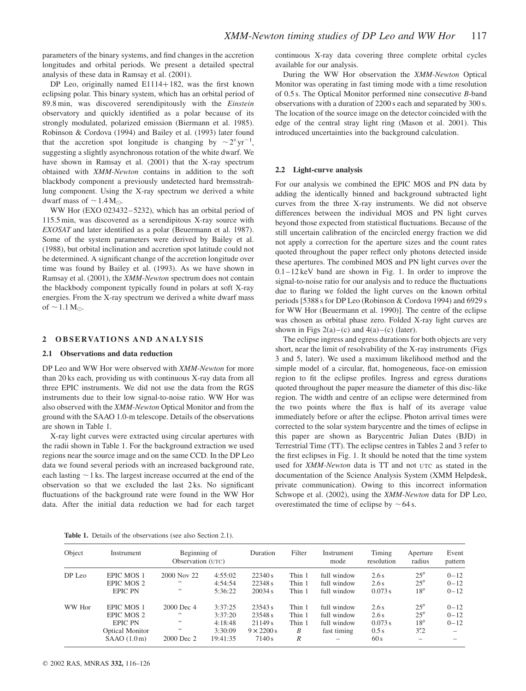parameters of the binary systems, and find changes in the accretion longitudes and orbital periods. We present a detailed spectral analysis of these data in Ramsay et al. (2001).

DP Leo, originally named  $E1114+182$ , was the first known eclipsing polar. This binary system, which has an orbital period of 89.8 min, was discovered serendipitously with the Einstein observatory and quickly identified as a polar because of its strongly modulated, polarized emission (Biermann et al. 1985). Robinson & Cordova (1994) and Bailey et al. (1993) later found that the accretion spot longitude is changing by  $\sim 2^{\circ}$  yr<sup>-1</sup>, suggesting a slightly asynchronous rotation of the white dwarf. We have shown in Ramsay et al. (2001) that the X-ray spectrum obtained with XMM-Newton contains in addition to the soft blackbody component a previously undetected hard bremsstrahlung component. Using the X-ray spectrum we derived a white dwarf mass of  $\sim$  1.4 M $_{\odot}$ .

WW Hor (EXO 023432-5232), which has an orbital period of 115.5 min, was discovered as a serendipitous X-ray source with EXOSAT and later identified as a polar (Beuermann et al. 1987). Some of the system parameters were derived by Bailey et al. (1988), but orbital inclination and accretion spot latitude could not be determined. A significant change of the accretion longitude over time was found by Bailey et al. (1993). As we have shown in Ramsay et al. (2001), the XMM-Newton spectrum does not contain the blackbody component typically found in polars at soft X-ray energies. From the X-ray spectrum we derived a white dwarf mass of  $\sim$  1.1 M $\odot$ .

## 2 O BSERVATIONS A ND ANALYSIS

#### 2.1 Observations and data reduction

DP Leo and WW Hor were observed with *XMM-Newton* for more than 20 ks each, providing us with continuous X-ray data from all three EPIC instruments. We did not use the data from the RGS instruments due to their low signal-to-noise ratio. WW Hor was also observed with the XMM-Newton Optical Monitor and from the ground with the SAAO 1.0-m telescope. Details of the observations are shown in Table 1.

X-ray light curves were extracted using circular apertures with the radii shown in Table 1. For the background extraction we used regions near the source image and on the same CCD. In the DP Leo data we found several periods with an increased background rate, each lasting  $\sim$  1 ks. The largest increase occurred at the end of the observation so that we excluded the last 2 ks. No significant fluctuations of the background rate were found in the WW Hor data. After the initial data reduction we had for each target continuous X-ray data covering three complete orbital cycles available for our analysis.

During the WW Hor observation the XMM-Newton Optical Monitor was operating in fast timing mode with a time resolution of 0.5 s. The Optical Monitor performed nine consecutive B-band observations with a duration of 2200 s each and separated by 300 s. The location of the source image on the detector coincided with the edge of the central stray light ring (Mason et al. 2001). This introduced uncertainties into the background calculation.

#### 2.2 Light-curve analysis

For our analysis we combined the EPIC MOS and PN data by adding the identically binned and background subtracted light curves from the three X-ray instruments. We did not observe differences between the individual MOS and PN light curves beyond those expected from statistical fluctuations. Because of the still uncertain calibration of the encircled energy fraction we did not apply a correction for the aperture sizes and the count rates quoted throughout the paper reflect only photons detected inside these apertures. The combined MOS and PN light curves over the 0:1–12 keV band are shown in Fig. 1. In order to improve the signal-to-noise ratio for our analysis and to reduce the fluctuations due to flaring we folded the light curves on the known orbital periods [5388 s for DP Leo (Robinson & Cordova 1994) and 6929 s for WW Hor (Beuermann et al. 1990)]. The centre of the eclipse was chosen as orbital phase zero. Folded X-ray light curves are shown in Figs  $2(a)-(c)$  and  $4(a)-(c)$  (later).

The eclipse ingress and egress durations for both objects are very short, near the limit of resolvability of the X-ray instruments (Figs 3 and 5, later). We used a maximum likelihood method and the simple model of a circular, flat, homogeneous, face-on emission region to fit the eclipse profiles. Ingress and egress durations quoted throughout the paper measure the diameter of this disc-like region. The width and centre of an eclipse were determined from the two points where the flux is half of its average value immediately before or after the eclipse. Photon arrival times were corrected to the solar system barycentre and the times of eclipse in this paper are shown as Barycentric Julian Dates (BJD) in Terrestrial Time (TT). The eclipse centres in Tables 2 and 3 refer to the first eclipses in Fig. 1. It should be noted that the time system used for XMM-Newton data is TT and not UTC as stated in the documentation of the Science Analysis System (XMM Helpdesk, private communication). Owing to this incorrect information Schwope et al. (2002), using the *XMM-Newton* data for DP Leo, overestimated the time of eclipse by  $\sim$  64 s.

Table 1. Details of the observations (see also Section 2.1).

| Object | Instrument              | Beginning of<br>Observation (UTC) |          | Duration          | Filter | Instrument<br>mode | Timing<br>resolution | Aperture<br>radius | Event<br>pattern |
|--------|-------------------------|-----------------------------------|----------|-------------------|--------|--------------------|----------------------|--------------------|------------------|
| DP Leo | EPIC MOS 1              | 2000 Nov 22                       | 4:55:02  | 22340 s           | Thin 1 | full window        | 2.6s                 | 25''               | $0 - 12$         |
|        | EPIC MOS 2              | 66                                | 4:54:54  | 22348 s           | Thin 1 | full window        | 2.6s                 | 25''               | $0 - 12$         |
|        | <b>EPIC PN</b>          | 66                                | 5:36:22  | 20034 s           | Thin 1 | full window        | 0.073 s              | 18''               | $0 - 12$         |
| WW Hor | EPIC MOS 1              | 2000 Dec 4                        | 3:37:25  | 23543 s           | Thin 1 | full window        | 2.6s                 | 25''               | $0 - 12$         |
|        | EPIC MOS 2              | 66                                | 3:37:20  | 23548 s           | Thin 1 | full window        | 2.6s                 | 25''               | $0 - 12$         |
|        | <b>EPIC PN</b>          | 66                                | 4:18:48  | 21149s            | Thin 1 | full window        | 0.073 s              | 18''               | $0 - 12$         |
|        | <b>Optical Monitor</b>  | 66                                | 3:30:09  | $9 \times 2200$ s | B      | fast timing        | 0.5s                 | 3''2               |                  |
|        | SAAO(1.0 <sub>m</sub> ) | 2000 Dec 2                        | 19:41:35 | 7140 s            | R      |                    | 60s                  |                    |                  |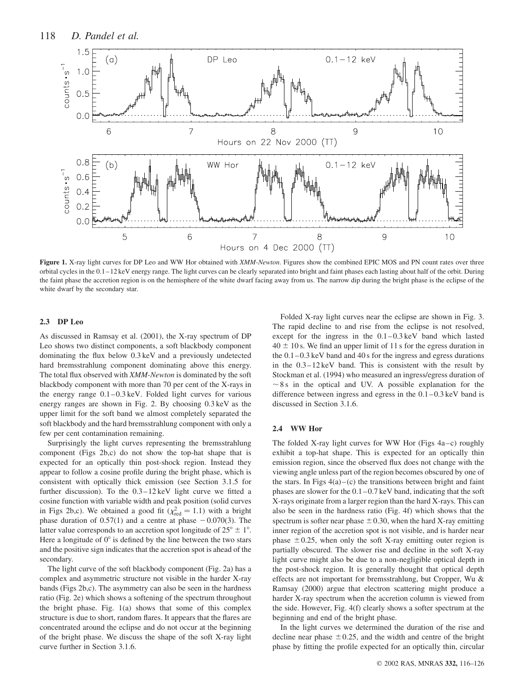

Figure 1. X-ray light curves for DP Leo and WW Hor obtained with XMM-Newton. Figures show the combined EPIC MOS and PN count rates over three orbital cycles in the 0:1–12 keV energy range. The light curves can be clearly separated into bright and faint phases each lasting about half of the orbit. During the faint phase the accretion region is on the hemisphere of the white dwarf facing away from us. The narrow dip during the bright phase is the eclipse of the white dwarf by the secondary star.

## 2.3 DP Leo

As discussed in Ramsay et al. (2001), the X-ray spectrum of DP Leo shows two distinct components, a soft blackbody component dominating the flux below 0.3 keV and a previously undetected hard bremsstrahlung component dominating above this energy. The total flux observed with XMM-Newton is dominated by the soft blackbody component with more than 70 per cent of the X-rays in the energy range  $0.1-0.3 \text{ keV}$ . Folded light curves for various energy ranges are shown in Fig. 2. By choosing 0.3 keV as the upper limit for the soft band we almost completely separated the soft blackbody and the hard bremsstrahlung component with only a few per cent contamination remaining.

Surprisingly the light curves representing the bremsstrahlung component (Figs 2b,c) do not show the top-hat shape that is expected for an optically thin post-shock region. Instead they appear to follow a cosine profile during the bright phase, which is consistent with optically thick emission (see Section 3.1.5 for further discussion). To the  $0.3-12 \text{ keV}$  light curve we fitted a cosine function with variable width and peak position (solid curves in Figs 2b,c). We obtained a good fit ( $\chi^2_{\text{red}} = 1.1$ ) with a bright phase duration of  $0.57(1)$  and a centre at phase  $-0.070(3)$ . The latter value corresponds to an accretion spot longitude of  $25^{\circ} \pm 1^{\circ}$ . Here a longitude of  $0^\circ$  is defined by the line between the two stars and the positive sign indicates that the accretion spot is ahead of the secondary.

The light curve of the soft blackbody component (Fig. 2a) has a complex and asymmetric structure not visible in the harder X-ray bands (Figs 2b,c). The asymmetry can also be seen in the hardness ratio (Fig. 2e) which shows a softening of the spectrum throughout the bright phase. Fig. 1(a) shows that some of this complex structure is due to short, random flares. It appears that the flares are concentrated around the eclipse and do not occur at the beginning of the bright phase. We discuss the shape of the soft X-ray light curve further in Section 3.1.6.

Folded X-ray light curves near the eclipse are shown in Fig. 3. The rapid decline to and rise from the eclipse is not resolved, except for the ingress in the  $0.1-0.3 \text{ keV}$  band which lasted  $40 \pm 10$  s. We find an upper limit of 11 s for the egress duration in the  $0.1-0.3$  keV band and  $40$  s for the ingress and egress durations in the 0:3–12 keV band. This is consistent with the result by Stockman et al. (1994) who measured an ingress/egress duration of  $\sim$ 8 s in the optical and UV. A possible explanation for the difference between ingress and egress in the  $0.1-0.3$  keV band is discussed in Section 3.1.6.

## 2.4 WW Hor

The folded X-ray light curves for WW Hor (Figs 4a–c) roughly exhibit a top-hat shape. This is expected for an optically thin emission region, since the observed flux does not change with the viewing angle unless part of the region becomes obscured by one of the stars. In Figs  $4(a)$ –(c) the transitions between bright and faint phases are slower for the  $0.1-0.7$  keV band, indicating that the soft X-rays originate from a larger region than the hard X-rays. This can also be seen in the hardness ratio (Fig. 4f) which shows that the spectrum is softer near phase  $\pm$  0.30, when the hard X-ray emitting inner region of the accretion spot is not visible, and is harder near phase  $\pm 0.25$ , when only the soft X-ray emitting outer region is partially obscured. The slower rise and decline in the soft X-ray light curve might also be due to a non-negligible optical depth in the post-shock region. It is generally thought that optical depth effects are not important for bremsstrahlung, but Cropper, Wu & Ramsay (2000) argue that electron scattering might produce a harder X-ray spectrum when the accretion column is viewed from the side. However, Fig. 4(f) clearly shows a softer spectrum at the beginning and end of the bright phase.

In the light curves we determined the duration of the rise and decline near phase  $\pm 0.25$ , and the width and centre of the bright phase by fitting the profile expected for an optically thin, circular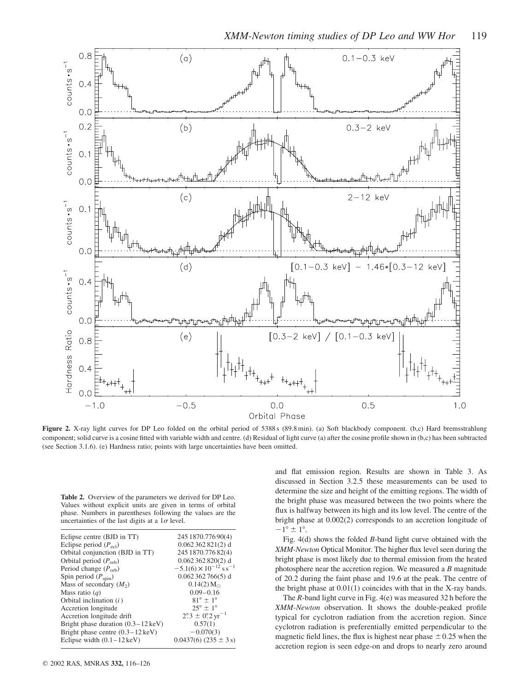

Figure 2. X-ray light curves for DP Leo folded on the orbital period of 5388 s (89.8 min). (a) Soft blackbody component. (b,c) Hard bremsstrahlung component; solid curve is a cosine fitted with variable width and centre. (d) Residual of light curve (a) after the cosine profile shown in (b,c) has been subtracted (see Section 3.1.6). (e) Hardness ratio; points with large uncertainties have been omitted.

Table 2. Overview of the parameters we derived for DP Leo. Values without explicit units are given in terms of orbital phase. Numbers in parentheses following the values are the uncertainties of the last digits at a  $1\sigma$  level.

| Eclipse centre (BJD in TT)                   | 245 1870.776 90(4)                                       |
|----------------------------------------------|----------------------------------------------------------|
| Eclipse period $(P_{\text{ecl}})$            | $0.062362821(2)$ d                                       |
| Orbital conjunction (BJD in TT)              | 245 1870.776 82(4)                                       |
| Orbital period $(P_{\text{orb}})$            | $0.062362820(2)$ d                                       |
| Period change $(P_{\text{orb}})$             | $-5.1(6) \times 10^{-12}$ s s <sup>-1</sup>              |
| Spin period $(P_{\text{spin}})$              | $0.062362766(5)$ d                                       |
| Mass of secondary $(M_2)$                    | $0.14(2) M_{\odot}$                                      |
| Mass ratio $(q)$                             | $0.09 - 0.16$                                            |
| Orbital inclination $(i)$                    | $81^{\circ}$ + 1 <sup>o</sup>                            |
| Accretion longitude                          | $25^{\circ} \pm 1^{\circ}$                               |
| Accretion longitude drift                    | $2^{\circ}\!\!.3 \pm 0^{\circ}\!\!.2 \,\mathrm{yr}^{-1}$ |
| Bright phase duration $(0.3-12 \text{ keV})$ | 0.57(1)                                                  |
| Bright phase centre $(0.3-12 \text{ keV})$   | $-0.070(3)$                                              |
| Eclipse width $(0.1-12 \text{ keV})$         | $0.0437(6)$ (235 $\pm$ 3 s)                              |

and flat emission region. Results are shown in Table 3. As discussed in Section 3.2.5 these measurements can be used to determine the size and height of the emitting regions. The width of the bright phase was measured between the two points where the flux is halfway between its high and its low level. The centre of the bright phase at 0.002(2) corresponds to an accretion longitude of  $-1^{\circ} \pm 1^{\circ}$ .

Fig. 4(d) shows the folded B-band light curve obtained with the XMM-Newton Optical Monitor. The higher flux level seen during the bright phase is most likely due to thermal emission from the heated photosphere near the accretion region. We measured a B magnitude of 20.2 during the faint phase and 19.6 at the peak. The centre of the bright phase at 0.01(1) coincides with that in the X-ray bands.

The R-band light curve in Fig. 4(e) was measured 32 h before the XMM-Newton observation. It shows the double-peaked profile typical for cyclotron radiation from the accretion region. Since cyclotron radiation is preferentially emitted perpendicular to the magnetic field lines, the flux is highest near phase  $\pm$  0.25 when the accretion region is seen edge-on and drops to nearly zero around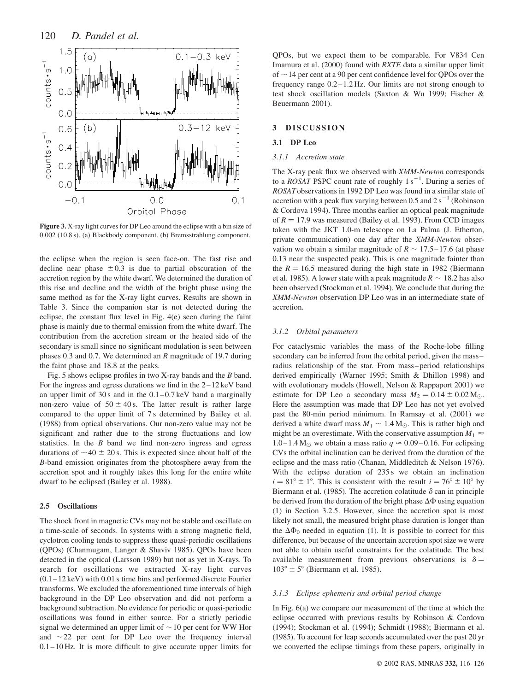

Figure 3. X-ray light curves for DP Leo around the eclipse with a bin size of 0.002 (10.8 s). (a) Blackbody component. (b) Bremsstrahlung component.

the eclipse when the region is seen face-on. The fast rise and decline near phase  $\pm 0.3$  is due to partial obscuration of the accretion region by the white dwarf. We determined the duration of this rise and decline and the width of the bright phase using the same method as for the X-ray light curves. Results are shown in Table 3. Since the companion star is not detected during the eclipse, the constant flux level in Fig. 4(e) seen during the faint phase is mainly due to thermal emission from the white dwarf. The contribution from the accretion stream or the heated side of the secondary is small since no significant modulation is seen between phases 0.3 and 0.7. We determined an R magnitude of 19.7 during the faint phase and 18.8 at the peaks.

Fig. 5 shows eclipse profiles in two X-ray bands and the B band. For the ingress and egress durations we find in the 2–12 keV band an upper limit of 30 s and in the  $0.1-0.7$  keV band a marginally non-zero value of  $50 \pm 40$  s. The latter result is rather large compared to the upper limit of 7 s determined by Bailey et al. (1988) from optical observations. Our non-zero value may not be significant and rather due to the strong fluctuations and low statistics. In the  $B$  band we find non-zero ingress and egress durations of  $\sim$  40  $\pm$  20 s. This is expected since about half of the B-band emission originates from the photosphere away from the accretion spot and it roughly takes this long for the entire white dwarf to be eclipsed (Bailey et al. 1988).

#### 2.5 Oscillations

The shock front in magnetic CVs may not be stable and oscillate on a time-scale of seconds. In systems with a strong magnetic field, cyclotron cooling tends to suppress these quasi-periodic oscillations (QPOs) (Chanmugam, Langer & Shaviv 1985). QPOs have been detected in the optical (Larsson 1989) but not as yet in X-rays. To search for oscillations we extracted X-ray light curves  $(0.1-12 \text{ keV})$  with 0.01 s time bins and performed discrete Fourier transforms. We excluded the aforementioned time intervals of high background in the DP Leo observation and did not perform a background subtraction. No evidence for periodic or quasi-periodic oscillations was found in either source. For a strictly periodic signal we determined an upper limit of  $\sim$  10 per cent for WW Hor and  $\sim$  22 per cent for DP Leo over the frequency interval 0:1–10 Hz. It is more difficult to give accurate upper limits for QPOs, but we expect them to be comparable. For V834 Cen Imamura et al. (2000) found with RXTE data a similar upper limit of  $\sim$  14 per cent at a 90 per cent confidence level for QPOs over the frequency range  $0.2 - 1.2$  Hz. Our limits are not strong enough to test shock oscillation models (Saxton & Wu 1999; Fischer & Beuermann 2001).

## 3 DISCUSSION

## 3.1 DP Leo

#### 3.1.1 Accretion state

The X-ray peak flux we observed with XMM-Newton corresponds to a *ROSAT* PSPC count rate of roughly  $1 \text{ s}^{-1}$ . During a series of ROSAT observations in 1992 DP Leo was found in a similar state of accretion with a peak flux varying between 0.5 and  $2 s^{-1}$  (Robinson & Cordova 1994). Three months earlier an optical peak magnitude of  $R = 17.9$  was measured (Bailey et al. 1993). From CCD images taken with the JKT 1.0-m telescope on La Palma (J. Etherton, private communication) one day after the XMM-Newton observation we obtain a similar magnitude of  $R \sim 17.5$ –17.6 (at phase 0.13 near the suspected peak). This is one magnitude fainter than the  $R = 16.5$  measured during the high state in 1982 (Biermann et al. 1985). A lower state with a peak magnitude  $R \sim 18.2$  has also been observed (Stockman et al. 1994). We conclude that during the XMM-Newton observation DP Leo was in an intermediate state of accretion.

## 3.1.2 Orbital parameters

For cataclysmic variables the mass of the Roche-lobe filling secondary can be inferred from the orbital period, given the mass– radius relationship of the star. From mass–period relationships derived empirically (Warner 1995; Smith & Dhillon 1998) and with evolutionary models (Howell, Nelson & Rappaport 2001) we estimate for DP Leo a secondary mass  $M_2 = 0.14 \pm 0.02$  M<sub>O</sub>. Here the assumption was made that DP Leo has not yet evolved past the 80-min period minimum. In Ramsay et al. (2001) we derived a white dwarf mass  $M_1 \sim 1.4$  M<sub> $\odot$ </sub>. This is rather high and might be an overestimate. With the conservative assumption  $M_1 \approx$ 1.0–1.4 M<sub> $\odot$ </sub> we obtain a mass ratio  $q \approx 0.09$ –0.16. For eclipsing CVs the orbital inclination can be derived from the duration of the eclipse and the mass ratio (Chanan, Middleditch & Nelson 1976). With the eclipse duration of 235s we obtain an inclination  $i = 81^\circ \pm 1^\circ$ . This is consistent with the result  $i = 76^\circ \pm 10^\circ$  by Biermann et al. (1985). The accretion colatitude  $\delta$  can in principle be derived from the duration of the bright phase  $\Delta\Phi$  using equation (1) in Section 3.2.5. However, since the accretion spot is most likely not small, the measured bright phase duration is longer than the  $\Delta\Phi_0$  needed in equation (1). It is possible to correct for this difference, but because of the uncertain accretion spot size we were not able to obtain useful constraints for the colatitude. The best available measurement from previous observations is  $\delta =$  $103^\circ \pm 5^\circ$  (Biermann et al. 1985).

### 3.1.3 Eclipse ephemeris and orbital period change

In Fig. 6(a) we compare our measurement of the time at which the eclipse occurred with previous results by Robinson & Cordova (1994); Stockman et al. (1994); Schmidt (1988); Biermann et al. (1985). To account for leap seconds accumulated over the past 20 yr we converted the eclipse timings from these papers, originally in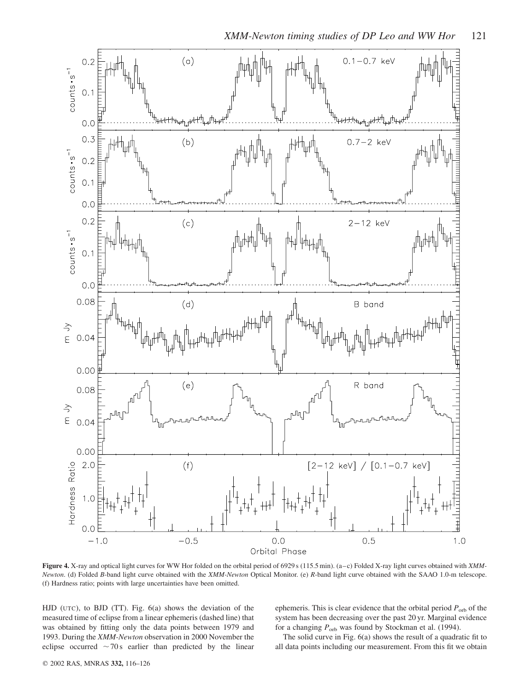

Figure 4. X-ray and optical light curves for WW Hor folded on the orbital period of 6929 s (115.5 min). (a–c) Folded X-ray light curves obtained with XMM-Newton. (d) Folded B-band light curve obtained with the XMM-Newton Optical Monitor. (e) R-band light curve obtained with the SAAO 1.0-m telescope. (f) Hardness ratio; points with large uncertainties have been omitted.

HJD (UTC), to BJD (TT). Fig. 6(a) shows the deviation of the measured time of eclipse from a linear ephemeris (dashed line) that was obtained by fitting only the data points between 1979 and 1993. During the XMM-Newton observation in 2000 November the eclipse occurred  $\sim$  70 s earlier than predicted by the linear

ephemeris. This is clear evidence that the orbital period  $P_{\text{orb}}$  of the system has been decreasing over the past 20 yr. Marginal evidence for a changing  $P_{\text{orb}}$  was found by Stockman et al. (1994).

The solid curve in Fig. 6(a) shows the result of a quadratic fit to all data points including our measurement. From this fit we obtain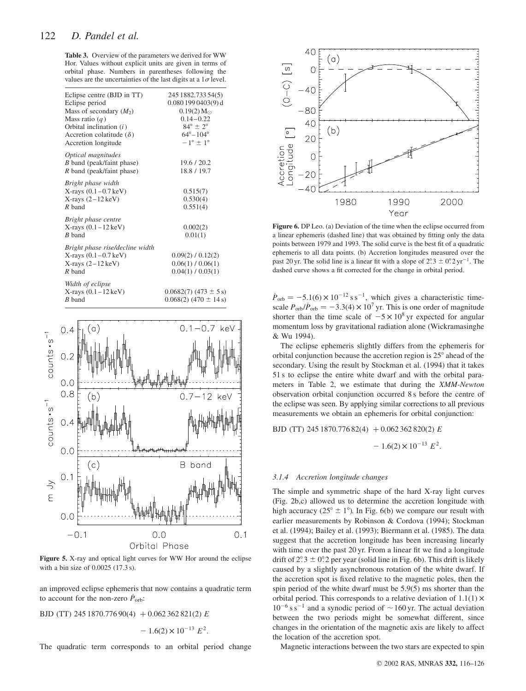Table 3. Overview of the parameters we derived for WW Hor. Values without explicit units are given in terms of orbital phase. Numbers in parentheses following the values are the uncertainties of the last digits at a  $1\sigma$  level.

| Eclipse centre (BJD in TT)<br>Eclipse period<br>Mass of secondary $(M_2)$<br>Mass ratio $(q)$<br>Orbital inclination $(i)$<br>Accretion colatitude ( $\delta$ )<br>Accretion longitude | 245 1882.733 54(5)<br>$0.0801990403(9)$ d<br>$0.19(2) M_{\odot}$<br>$0.14 - 0.22$<br>$84^\circ \pm 2^\circ$<br>$64^\circ - 104^\circ$<br>$-1^{\circ} \pm 1^{\circ}$ |
|----------------------------------------------------------------------------------------------------------------------------------------------------------------------------------------|---------------------------------------------------------------------------------------------------------------------------------------------------------------------|
| Optical magnitudes<br><i>B</i> band (peak/faint phase)<br>R band (peak/faint phase)                                                                                                    | 19.6 / 20.2<br>18.8 / 19.7                                                                                                                                          |
| Bright phase width<br>$X-rays (0.1-0.7 keV)$<br>$X-rays (2-12 keV)$<br>$R$ band                                                                                                        | 0.515(7)<br>0.530(4)<br>0.551(4)                                                                                                                                    |
| Bright phase centre<br>$X-rays (0.1 – 12 keV)$<br>$R$ band                                                                                                                             | 0.002(2)<br>0.01(1)                                                                                                                                                 |
| Bright phase rise/decline width<br>$X-rays (0.1-0.7 keV)$<br>$X-rays (2-12 keV)$<br>$R$ band                                                                                           | 0.09(2) / 0.12(2)<br>0.06(1) / 0.06(1)<br>0.04(1) / 0.03(1)                                                                                                         |
| Width of eclipse<br>$X-rays (0.1 – 12 keV)$<br>$B$ band                                                                                                                                | $0.0682(7)$ (473 ± 5 s)<br>$0.068(2)$ (470 $\pm$ 14 s)                                                                                                              |



Figure 5. X-ray and optical light curves for WW Hor around the eclipse with a bin size of 0.0025 (17.3 s).

an improved eclipse ephemeris that now contains a quadratic term to account for the non-zero  $\dot{P}_{\text{orb}}$ :

BJD (TT) 245 1870.776 90(4)  $+0.062362821(2) E$ 

$$
-1.6(2) \times 10^{-13} E^2.
$$

The quadratic term corresponds to an orbital period change



Figure 6. DP Leo. (a) Deviation of the time when the eclipse occurred from a linear ephemeris (dashed line) that was obtained by fitting only the data points between 1979 and 1993. The solid curve is the best fit of a quadratic ephemeris to all data points. (b) Accretion longitudes measured over the past 20 yr. The solid line is a linear fit with a slope of  $2^{\circ}3 \pm 0^{\circ}2$  yr<sup>-1</sup>. The dashed curve shows a fit corrected for the change in orbital period.

 $\dot{P}_{\rm orb} = -5.1(6) \times 10^{-12}$  s s<sup>-1</sup>, which gives a characteristic timescale  $P_{\rm orb}/\dot{P}_{\rm orb} = -3.3(4) \times 10^7$  yr. This is one order of magnitude shorter than the time scale of  $-5 \times 10^8$  yr expected for angular momentum loss by gravitational radiation alone (Wickramasinghe & Wu 1994).

The eclipse ephemeris slightly differs from the ephemeris for orbital conjunction because the accretion region is  $25^{\circ}$  ahead of the secondary. Using the result by Stockman et al. (1994) that it takes 51 s to eclipse the entire white dwarf and with the orbital parameters in Table 2, we estimate that during the XMM-Newton observation orbital conjunction occurred 8 s before the centre of the eclipse was seen. By applying similar corrections to all previous measurements we obtain an ephemeris for orbital conjunction:

BJD (TT) 245 1870.776 82(4)  $+0.062362820(2) E$ 

 $-1.6(2) \times 10^{-13} E^2$ .

#### 3.1.4 Accretion longitude changes

The simple and symmetric shape of the hard X-ray light curves (Fig. 2b,c) allowed us to determine the accretion longitude with high accuracy  $(25^{\circ} \pm 1^{\circ})$ . In Fig. 6(b) we compare our result with earlier measurements by Robinson & Cordova (1994); Stockman et al. (1994); Bailey et al. (1993); Biermann et al. (1985). The data suggest that the accretion longitude has been increasing linearly with time over the past 20 yr. From a linear fit we find a longitude drift of  $2^\circ$ :3  $\pm$  0°:2 per year (solid line in Fig. 6b). This drift is likely caused by a slightly asynchronous rotation of the white dwarf. If the accretion spot is fixed relative to the magnetic poles, then the spin period of the white dwarf must be 5.9(5) ms shorter than the orbital period. This corresponds to a relative deviation of  $1.1(1) \times$  $10^{-6}$  s s<sup>-1</sup> and a synodic period of  $\sim$  160 yr. The actual deviation between the two periods might be somewhat different, since changes in the orientation of the magnetic axis are likely to affect the location of the accretion spot.

Magnetic interactions between the two stars are expected to spin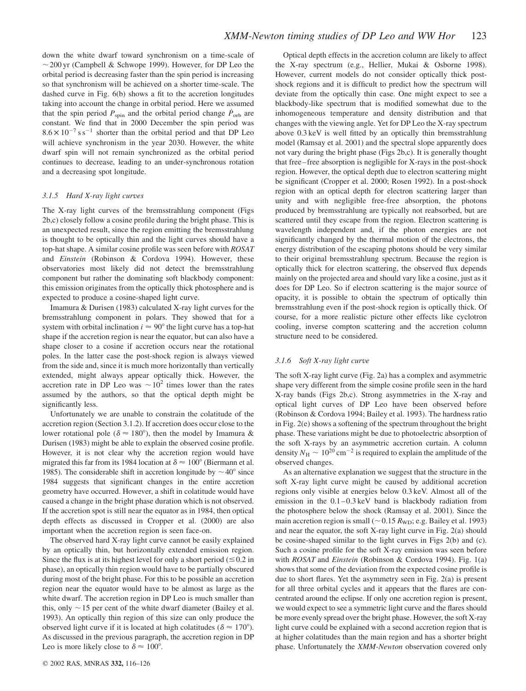Optical depth effects in the accretion column are likely to affect the X-ray spectrum (e.g., Hellier, Mukai & Osborne 1998). However, current models do not consider optically thick postshock regions and it is difficult to predict how the spectrum will deviate from the optically thin case. One might expect to see a blackbody-like spectrum that is modified somewhat due to the inhomogeneous temperature and density distribution and that changes with the viewing angle. Yet for DP Leo the X-ray spectrum above 0.3 keV is well fitted by an optically thin bremsstrahlung model (Ramsay et al. 2001) and the spectral slope apparently does not vary during the bright phase (Figs 2b,c). It is generally thought that free–free absorption is negligible for X-rays in the post-shock region. However, the optical depth due to electron scattering might be significant (Cropper et al. 2000; Rosen 1992). In a post-shock region with an optical depth for electron scattering larger than unity and with negligible free-free absorption, the photons produced by bremsstrahlung are typically not reabsorbed, but are scattered until they escape from the region. Electron scattering is

down the white dwarf toward synchronism on a time-scale of  $\sim$  200 yr (Campbell & Schwope 1999). However, for DP Leo the orbital period is decreasing faster than the spin period is increasing so that synchronism will be achieved on a shorter time-scale. The dashed curve in Fig. 6(b) shows a fit to the accretion longitudes taking into account the change in orbital period. Here we assumed that the spin period  $P_{spin}$  and the orbital period change  $\dot{P}_{orb}$  are constant. We find that in 2000 December the spin period was  $8.6 \times 10^{-7}$  s s<sup>-1</sup> shorter than the orbital period and that DP Leo will achieve synchronism in the year 2030. However, the white dwarf spin will not remain synchronized as the orbital period continues to decrease, leading to an under-synchronous rotation and a decreasing spot longitude.

#### 3.1.5 Hard X-ray light curves

The X-ray light curves of the bremsstrahlung component (Figs 2b,c) closely follow a cosine profile during the bright phase. This is an unexpected result, since the region emitting the bremsstrahlung is thought to be optically thin and the light curves should have a top-hat shape. A similar cosine profile was seen before with ROSAT and Einstein (Robinson & Cordova 1994). However, these observatories most likely did not detect the bremsstrahlung component but rather the dominating soft blackbody component: this emission originates from the optically thick photosphere and is expected to produce a cosine-shaped light curve.

Imamura & Durisen (1983) calculated X-ray light curves for the bremsstrahlung component in polars. They showed that for a system with orbital inclination  $i \approx 90^{\circ}$  the light curve has a top-hat shape if the accretion region is near the equator, but can also have a shape closer to a cosine if accretion occurs near the rotational poles. In the latter case the post-shock region is always viewed from the side and, since it is much more horizontally than vertically extended, might always appear optically thick. However, the accretion rate in DP Leo was  $\sim 10^2$  times lower than the rates assumed by the authors, so that the optical depth might be significantly less.

Unfortunately we are unable to constrain the colatitude of the accretion region (Section 3.1.2). If accretion does occur close to the lower rotational pole ( $\delta \approx 180^{\circ}$ ), then the model by Imamura & Durisen (1983) might be able to explain the observed cosine profile. However, it is not clear why the accretion region would have migrated this far from its 1984 location at  $\delta \approx 100^{\circ}$  (Biermann et al. 1985). The considerable shift in accretion longitude by  $\sim 40^{\circ}$  since 1984 suggests that significant changes in the entire accretion geometry have occurred. However, a shift in colatitude would have caused a change in the bright phase duration which is not observed. If the accretion spot is still near the equator as in 1984, then optical depth effects as discussed in Cropper et al. (2000) are also important when the accretion region is seen face-on.

The observed hard X-ray light curve cannot be easily explained by an optically thin, but horizontally extended emission region. Since the flux is at its highest level for only a short period  $(\leq 0.2$  in phase), an optically thin region would have to be partially obscured during most of the bright phase. For this to be possible an accretion region near the equator would have to be almost as large as the white dwarf. The accretion region in DP Leo is much smaller than this, only  $\sim$  15 per cent of the white dwarf diameter (Bailey et al. 1993). An optically thin region of this size can only produce the observed light curve if it is located at high colatitudes ( $\delta \approx 170^{\circ}$ ). As discussed in the previous paragraph, the accretion region in DP Leo is more likely close to  $\delta \approx 100^{\circ}$ .

wavelength independent and, if the photon energies are not significantly changed by the thermal motion of the electrons, the energy distribution of the escaping photons should be very similar to their original bremsstrahlung spectrum. Because the region is optically thick for electron scattering, the observed flux depends mainly on the projected area and should vary like a cosine, just as it does for DP Leo. So if electron scattering is the major source of opacity, it is possible to obtain the spectrum of optically thin bremsstrahlung even if the post-shock region is optically thick. Of course, for a more realistic picture other effects like cyclotron cooling, inverse compton scattering and the accretion column structure need to be considered. 3.1.6 Soft X-ray light curve The soft X-ray light curve (Fig. 2a) has a complex and asymmetric shape very different from the simple cosine profile seen in the hard X-ray bands (Figs 2b,c). Strong asymmetries in the X-ray and optical light curves of DP Leo have been observed before (Robinson & Cordova 1994; Bailey et al. 1993). The hardness ratio in Fig. 2(e) shows a softening of the spectrum throughout the bright phase. These variations might be due to photoelectric absorption of the soft X-rays by an asymmetric accretion curtain. A column density  $N_H \sim 10^{20}$  cm<sup>-2</sup> is required to explain the amplitude of the observed changes. As an alternative explanation we suggest that the structure in the

soft X-ray light curve might be caused by additional accretion regions only visible at energies below 0.3 keV. Almost all of the emission in the  $0.1-0.3 \text{ keV}$  band is blackbody radiation from the photosphere below the shock (Ramsay et al. 2001). Since the main accretion region is small ( $\sim$  0.15  $R_{WD}$ ; e.g. Bailey et al. 1993) and near the equator, the soft X-ray light curve in Fig. 2(a) should be cosine-shaped similar to the light curves in Figs 2(b) and (c). Such a cosine profile for the soft X-ray emission was seen before with ROSAT and Einstein (Robinson & Cordova 1994). Fig. 1(a) shows that some of the deviation from the expected cosine profile is due to short flares. Yet the asymmetry seen in Fig. 2(a) is present for all three orbital cycles and it appears that the flares are concentrated around the eclipse. If only one accretion region is present, we would expect to see a symmetric light curve and the flares should be more evenly spread over the bright phase. However, the soft X-ray light curve could be explained with a second accretion region that is at higher colatitudes than the main region and has a shorter bright phase. Unfortunately the XMM-Newton observation covered only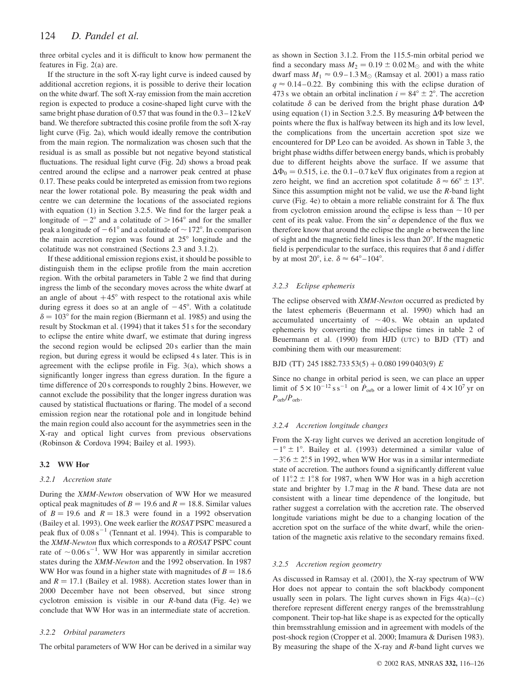three orbital cycles and it is difficult to know how permanent the features in Fig. 2(a) are.

If the structure in the soft X-ray light curve is indeed caused by additional accretion regions, it is possible to derive their location on the white dwarf. The soft X-ray emission from the main accretion region is expected to produce a cosine-shaped light curve with the same bright phase duration of 0.57 that was found in the  $0.3-12 \text{ keV}$ band. We therefore subtracted this cosine profile from the soft X-ray light curve (Fig. 2a), which would ideally remove the contribution from the main region. The normalization was chosen such that the residual is as small as possible but not negative beyond statistical fluctuations. The residual light curve (Fig. 2d) shows a broad peak centred around the eclipse and a narrower peak centred at phase 0.17. These peaks could be interpreted as emission from two regions near the lower rotational pole. By measuring the peak width and centre we can determine the locations of the associated regions with equation (1) in Section 3.2.5. We find for the larger peak a longitude of  $-2^{\circ}$  and a colatitude of  $> 164^{\circ}$  and for the smaller peak a longitude of  $-61^{\circ}$  and a colatitude of  $\sim 172^{\circ}$ . In comparison the main accretion region was found at  $25^{\circ}$  longitude and the colatitude was not constrained (Sections 2.3 and 3.1.2).

If these additional emission regions exist, it should be possible to distinguish them in the eclipse profile from the main accretion region. With the orbital parameters in Table 2 we find that during ingress the limb of the secondary moves across the white dwarf at an angle of about  $+45^{\circ}$  with respect to the rotational axis while during egress it does so at an angle of  $-45^{\circ}$ . With a colatitude  $\delta = 103^{\circ}$  for the main region (Biermann et al. 1985) and using the result by Stockman et al. (1994) that it takes 51 s for the secondary to eclipse the entire white dwarf, we estimate that during ingress the second region would be eclipsed 20 s earlier than the main region, but during egress it would be eclipsed 4 s later. This is in agreement with the eclipse profile in Fig. 3(a), which shows a significantly longer ingress than egress duration. In the figure a time difference of 20 s corresponds to roughly 2 bins. However, we cannot exclude the possibility that the longer ingress duration was caused by statistical fluctuations or flaring. The model of a second emission region near the rotational pole and in longitude behind the main region could also account for the asymmetries seen in the X-ray and optical light curves from previous observations (Robinson & Cordova 1994; Bailey et al. 1993).

#### 3.2 WW Hor

#### 3.2.1 Accretion state

During the XMM-Newton observation of WW Hor we measured optical peak magnitudes of  $B = 19.6$  and  $R = 18.8$ . Similar values of  $B = 19.6$  and  $R = 18.3$  were found in a 1992 observation (Bailey et al. 1993). One week earlier the ROSAT PSPC measured a peak flux of  $0.08 \text{ s}^{-1}$  (Tennant et al. 1994). This is comparable to the XMM-Newton flux which corresponds to a ROSAT PSPC count rate of  $\sim 0.06 \text{ s}^{-1}$ . WW Hor was apparently in similar accretion states during the XMM-Newton and the 1992 observation. In 1987 WW Hor was found in a higher state with magnitudes of  $B = 18.6$ and  $R = 17.1$  (Bailey et al. 1988). Accretion states lower than in 2000 December have not been observed, but since strong cyclotron emission is visible in our R-band data (Fig. 4e) we conclude that WW Hor was in an intermediate state of accretion.

#### 3.2.2 Orbital parameters

The orbital parameters of WW Hor can be derived in a similar way

as shown in Section 3.1.2. From the 115.5-min orbital period we find a secondary mass  $M_2 = 0.19 \pm 0.02$  M<sub> $\odot$ </sub> and with the white dwarf mass  $M_1 \approx 0.9 - 1.3$  M<sub> $\odot$ </sub> (Ramsay et al. 2001) a mass ratio  $q \approx 0.14 - 0.22$ . By combining this with the eclipse duration of 473 s we obtain an orbital inclination  $i = 84^{\circ} \pm 2^{\circ}$ . The accretion colatitude  $\delta$  can be derived from the bright phase duration  $\Delta \Phi$ using equation (1) in Section 3.2.5. By measuring  $\Delta\Phi$  between the points where the flux is halfway between its high and its low level, the complications from the uncertain accretion spot size we encountered for DP Leo can be avoided. As shown in Table 3, the bright phase widths differ between energy bands, which is probably due to different heights above the surface. If we assume that  $\Delta\Phi_0 = 0.515$ , i.e. the 0.1–0.7 keV flux originates from a region at zero height, we find an accretion spot colatitude  $\delta \approx 66^{\circ} \pm 13^{\circ}$ . Since this assumption might not be valid, we use the  $R$ -band light curve (Fig. 4e) to obtain a more reliable constraint for  $\delta$ . The flux from cyclotron emission around the eclipse is less than  $\sim$  10 per cent of its peak value. From the  $\sin^2 \alpha$  dependence of the flux we therefore know that around the eclipse the angle  $\alpha$  between the line of sight and the magnetic field lines is less than  $20^{\circ}$ . If the magnetic field is perpendicular to the surface, this requires that  $\delta$  and *i* differ by at most 20 $^{\circ}$ , i.e.  $\delta \approx 64^{\circ} - 104^{\circ}$ .

#### 3.2.3 Eclipse ephemeris

The eclipse observed with XMM-Newton occurred as predicted by the latest ephemeris (Beuermann et al. 1990) which had an accumulated uncertainty of  $\sim$ 40 s. We obtain an updated ephemeris by converting the mid-eclipse times in table 2 of Beuermann et al. (1990) from HJD (UTC) to BJD (TT) and combining them with our measurement:

### BJD (TT) 245 1882.733 53(5) + 0.080 199 0403(9)  $E$

Since no change in orbital period is seen, we can place an upper limit of  $5 \times 10^{-12}$  s s<sup>-1</sup> on  $\dot{P}_{orb}$  or a lower limit of  $4 \times 10^7$  yr on  $P_{\rm orb}/\dot{P}_{\rm orb}$ .

#### 3.2.4 Accretion longitude changes

From the X-ray light curves we derived an accretion longitude of  $-1^{\circ} \pm 1^{\circ}$ . Bailey et al. (1993) determined a similar value of  $-3\degree6 \pm 2\degree5$  in 1992, when WW Hor was in a similar intermediate state of accretion. The authors found a significantly different value of  $11^\circ$ :2  $\pm$  1°.8 for 1987, when WW Hor was in a high accretion state and brighter by  $1.7 \text{ mag}$  in the R band. These data are not consistent with a linear time dependence of the longitude, but rather suggest a correlation with the accretion rate. The observed longitude variations might be due to a changing location of the accretion spot on the surface of the white dwarf, while the orientation of the magnetic axis relative to the secondary remains fixed.

#### 3.2.5 Accretion region geometry

As discussed in Ramsay et al. (2001), the X-ray spectrum of WW Hor does not appear to contain the soft blackbody component usually seen in polars. The light curves shown in Figs  $4(a)$ –(c) therefore represent different energy ranges of the bremsstrahlung component. Their top-hat like shape is as expected for the optically thin bremsstrahlung emission and in agreement with models of the post-shock region (Cropper et al. 2000; Imamura & Durisen 1983). By measuring the shape of the X-ray and  $R$ -band light curves we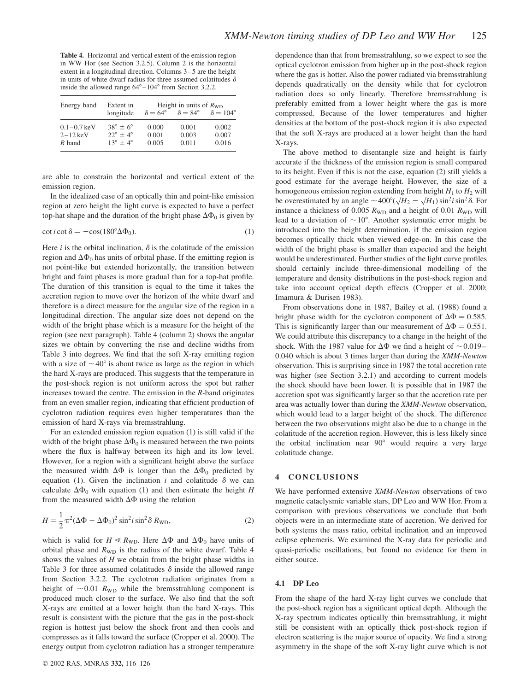Table 4. Horizontal and vertical extent of the emission region in WW Hor (see Section 3.2.5). Column 2 is the horizontal extent in a longitudinal direction. Columns 3–5 are the height in units of white dwarf radius for three assumed colatitudes  $\delta$ inside the allowed range  $64^{\circ} - 104^{\circ}$  from Section 3.2.2.

| Energy band     | Extent in<br>longitude   | Height in units of $R_{WD}$<br>$\delta = 64^{\circ}$ $\delta = 84^{\circ}$<br>$\delta = 104^{\circ}$ |       |       |  |
|-----------------|--------------------------|------------------------------------------------------------------------------------------------------|-------|-------|--|
| $0.1 - 0.7$ keV | $38^{\circ} + 6^{\circ}$ | 0.000                                                                                                | 0.001 | 0.002 |  |
| $2-12$ keV      | $22^{\circ} + 4^{\circ}$ | 0.001                                                                                                | 0.003 | 0.007 |  |
| R band          | $13^{\circ} + 4^{\circ}$ | 0.005                                                                                                | 0.011 | 0.016 |  |

are able to constrain the horizontal and vertical extent of the emission region.

In the idealized case of an optically thin and point-like emission region at zero height the light curve is expected to have a perfect top-hat shape and the duration of the bright phase  $\Delta\Phi_0$  is given by

$$
\cot i \cot \delta = -\cos(180^\circ \Delta \Phi_0). \tag{1}
$$

Here *i* is the orbital inclination,  $\delta$  is the colatitude of the emission region and  $\Delta\Phi_0$  has units of orbital phase. If the emitting region is not point-like but extended horizontally, the transition between bright and faint phases is more gradual than for a top-hat profile. The duration of this transition is equal to the time it takes the accretion region to move over the horizon of the white dwarf and therefore is a direct measure for the angular size of the region in a longitudinal direction. The angular size does not depend on the width of the bright phase which is a measure for the height of the region (see next paragraph). Table 4 (column 2) shows the angular sizes we obtain by converting the rise and decline widths from Table 3 into degrees. We find that the soft X-ray emitting region with a size of  $\sim 40^{\circ}$  is about twice as large as the region in which the hard X-rays are produced. This suggests that the temperature in the post-shock region is not uniform across the spot but rather increases toward the centre. The emission in the R-band originates from an even smaller region, indicating that efficient production of cyclotron radiation requires even higher temperatures than the emission of hard X-rays via bremsstrahlung.

For an extended emission region equation (1) is still valid if the width of the bright phase  $\Delta\Phi_0$  is measured between the two points where the flux is halfway between its high and its low level. However, for a region with a significant height above the surface the measured width  $\Delta\Phi$  is longer than the  $\Delta\Phi_0$  predicted by equation (1). Given the inclination i and colatitude  $\delta$  we can calculate  $\Delta\Phi_0$  with equation (1) and then estimate the height H from the measured width  $\Delta\Phi$  using the relation

$$
H = \frac{1}{2}\pi^2(\Delta\Phi - \Delta\Phi_0)^2\sin^2 i\sin^2\delta R_{\text{WD}},
$$
\n(2)

which is valid for  $H \ll R_{WD}$ . Here  $\Delta \Phi$  and  $\Delta \Phi_0$  have units of orbital phase and  $R_{WD}$  is the radius of the white dwarf. Table 4 shows the values of  $H$  we obtain from the bright phase widths in Table 3 for three assumed colatitudes  $\delta$  inside the allowed range from Section 3.2.2. The cyclotron radiation originates from a height of  $\sim 0.01$  R<sub>WD</sub> while the bremsstrahlung component is produced much closer to the surface. We also find that the soft X-rays are emitted at a lower height than the hard X-rays. This result is consistent with the picture that the gas in the post-shock region is hottest just below the shock front and then cools and compresses as it falls toward the surface (Cropper et al. 2000). The energy output from cyclotron radiation has a stronger temperature

dependence than that from bremsstrahlung, so we expect to see the optical cyclotron emission from higher up in the post-shock region where the gas is hotter. Also the power radiated via bremsstrahlung depends quadratically on the density while that for cyclotron radiation does so only linearly. Therefore bremsstrahlung is preferably emitted from a lower height where the gas is more compressed. Because of the lower temperatures and higher densities at the bottom of the post-shock region it is also expected that the soft X-rays are produced at a lower height than the hard X-rays.

The above method to disentangle size and height is fairly accurate if the thickness of the emission region is small compared to its height. Even if this is not the case, equation (2) still yields a good estimate for the average height. However, the size of a homogeneous emission region extending from height  $H_1$  to  $H_2$  will homogeneous emission region extending from height  $H_1$  to  $H_2$  will<br>be overestimated by an angle  $\sim 400^\circ (\sqrt{H_2} - \sqrt{H_1}) \sin^2 i \sin^2 \delta$ . For instance a thickness of 0.005  $R_{WD}$  and a height of 0.01  $R_{WD}$  will lead to a deviation of  $\sim 10^{\circ}$ . Another systematic error might be introduced into the height determination, if the emission region becomes optically thick when viewed edge-on. In this case the width of the bright phase is smaller than expected and the height would be underestimated. Further studies of the light curve profiles should certainly include three-dimensional modelling of the temperature and density distributions in the post-shock region and take into account optical depth effects (Cropper et al. 2000; Imamura & Durisen 1983).

From observations done in 1987, Bailey et al. (1988) found a bright phase width for the cyclotron component of  $\Delta \Phi = 0.585$ . This is significantly larger than our measurement of  $\Delta \Phi = 0.551$ . We could attribute this discrepancy to a change in the height of the shock. With the 1987 value for  $\Delta\Phi$  we find a height of  $\sim$  0.019– 0.040 which is about 3 times larger than during the XMM-Newton observation. This is surprising since in 1987 the total accretion rate was higher (see Section 3.2.1) and according to current models the shock should have been lower. It is possible that in 1987 the accretion spot was significantly larger so that the accretion rate per area was actually lower than during the XMM-Newton observation, which would lead to a larger height of the shock. The difference between the two observations might also be due to a change in the colatitude of the accretion region. However, this is less likely since the orbital inclination near  $90^\circ$  would require a very large colatitude change.

## 4 CONCLUSIONS

We have performed extensive XMM-Newton observations of two magnetic cataclysmic variable stars, DP Leo and WW Hor. From a comparison with previous observations we conclude that both objects were in an intermediate state of accretion. We derived for both systems the mass ratio, orbital inclination and an improved eclipse ephemeris. We examined the X-ray data for periodic and quasi-periodic oscillations, but found no evidence for them in either source.

## 4.1 DP Leo

From the shape of the hard X-ray light curves we conclude that the post-shock region has a significant optical depth. Although the X-ray spectrum indicates optically thin bremsstrahlung, it might still be consistent with an optically thick post-shock region if electron scattering is the major source of opacity. We find a strong asymmetry in the shape of the soft X-ray light curve which is not